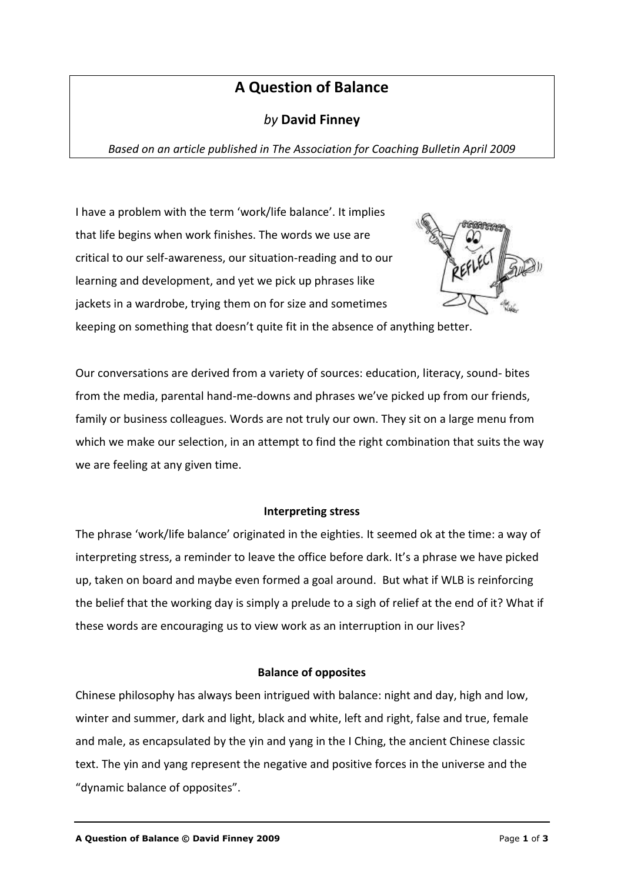# **A Question of Balance**

## *by* **David Finney**

*Based on an article published in The Association for Coaching Bulletin April 2009*

I have a problem with the term 'work/life balance'. It implies that life begins when work finishes. The words we use are critical to our self-awareness, our situation-reading and to our learning and development, and yet we pick up phrases like jackets in a wardrobe, trying them on for size and sometimes



keeping on something that doesn't quite fit in the absence of anything better.

Our conversations are derived from a variety of sources: education, literacy, sound- bites from the media, parental hand-me-downs and phrases we've picked up from our friends, family or business colleagues. Words are not truly our own. They sit on a large menu from which we make our selection, in an attempt to find the right combination that suits the way we are feeling at any given time.

#### **Interpreting stress**

The phrase 'work/life balance' originated in the eighties. It seemed ok at the time: a way of interpreting stress, a reminder to leave the office before dark. It's a phrase we have picked up, taken on board and maybe even formed a goal around. But what if WLB is reinforcing the belief that the working day is simply a prelude to a sigh of relief at the end of it? What if these words are encouraging us to view work as an interruption in our lives?

#### **Balance of opposites**

Chinese philosophy has always been intrigued with balance: night and day, high and low, winter and summer, dark and light, black and white, left and right, false and true, female and male, as encapsulated by the yin and yang in the I Ching, the ancient Chinese classic text. The yin and yang represent the negative and positive forces in the universe and the "dynamic balance of opposites".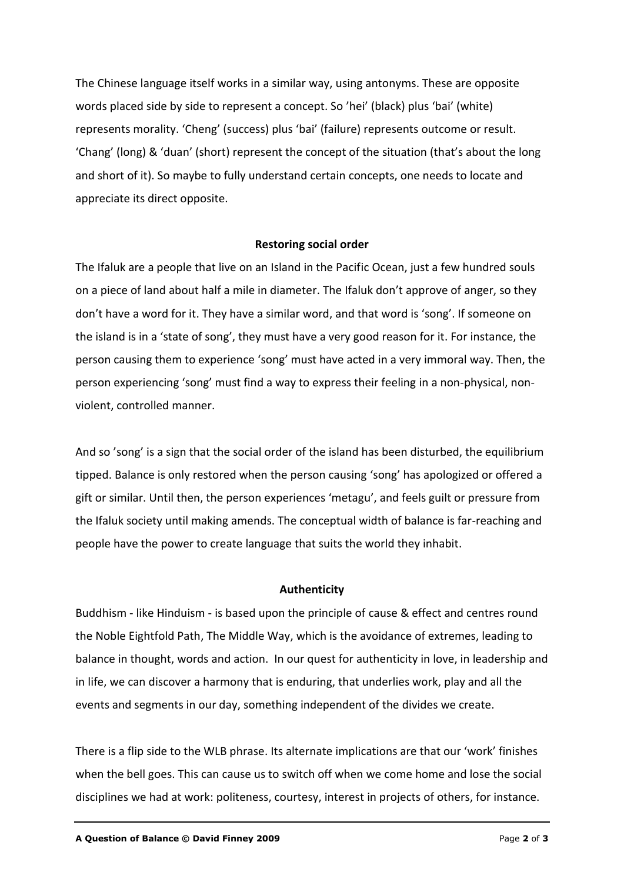The Chinese language itself works in a similar way, using antonyms. These are opposite words placed side by side to represent a concept. So 'hei' (black) plus 'bai' (white) represents morality. 'Cheng' (success) plus 'bai' (failure) represents outcome or result. 'Chang' (long) & 'duan' (short) represent the concept of the situation (that's about the long and short of it). So maybe to fully understand certain concepts, one needs to locate and appreciate its direct opposite.

#### **Restoring social order**

The Ifaluk are a people that live on an Island in the Pacific Ocean, just a few hundred souls on a piece of land about half a mile in diameter. The Ifaluk don't approve of anger, so they don't have a word for it. They have a similar word, and that word is 'song'. If someone on the island is in a 'state of song', they must have a very good reason for it. For instance, the person causing them to experience 'song' must have acted in a very immoral way. Then, the person experiencing 'song' must find a way to express their feeling in a non-physical, nonviolent, controlled manner.

And so 'song' is a sign that the social order of the island has been disturbed, the equilibrium tipped. Balance is only restored when the person causing 'song' has apologized or offered a gift or similar. Until then, the person experiences 'metagu', and feels guilt or pressure from the Ifaluk society until making amends. The conceptual width of balance is far-reaching and people have the power to create language that suits the world they inhabit.

#### **Authenticity**

Buddhism - like Hinduism - is based upon the principle of cause & effect and centres round the Noble Eightfold Path, The Middle Way, which is the avoidance of extremes, leading to balance in thought, words and action. In our quest for authenticity in love, in leadership and in life, we can discover a harmony that is enduring, that underlies work, play and all the events and segments in our day, something independent of the divides we create.

There is a flip side to the WLB phrase. Its alternate implications are that our 'work' finishes when the bell goes. This can cause us to switch off when we come home and lose the social disciplines we had at work: politeness, courtesy, interest in projects of others, for instance.